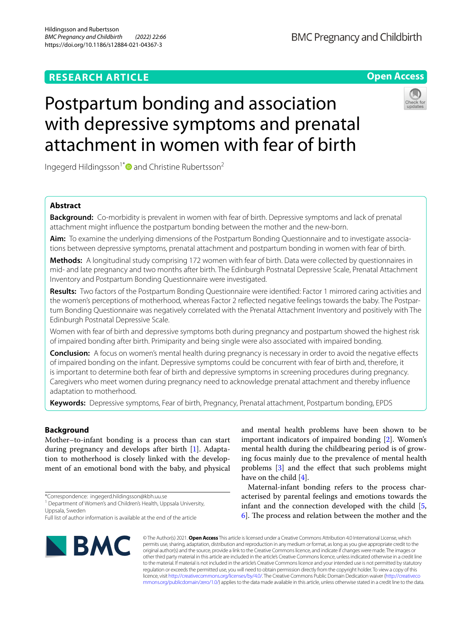# **RESEARCH ARTICLE**

# **BMC Pregnancy and Childbirth**

**Open Access**

# Postpartum bonding and association with depressive symptoms and prenatal attachment in women with fear of birth



Ingegerd Hildingsson<sup>1[\\*](http://orcid.org/0000-0001-6985-6729)</sup> and Christine Rubertsson<sup>2</sup>

# **Abstract**

**Background:** Co-morbidity is prevalent in women with fear of birth. Depressive symptoms and lack of prenatal attachment might infuence the postpartum bonding between the mother and the new-born.

**Aim:** To examine the underlying dimensions of the Postpartum Bonding Questionnaire and to investigate associations between depressive symptoms, prenatal attachment and postpartum bonding in women with fear of birth.

**Methods:** A longitudinal study comprising 172 women with fear of birth. Data were collected by questionnaires in mid- and late pregnancy and two months after birth. The Edinburgh Postnatal Depressive Scale, Prenatal Attachment Inventory and Postpartum Bonding Questionnaire were investigated.

**Results:** Two factors of the Postpartum Bonding Questionnaire were identifed: Factor 1 mirrored caring activities and the women's perceptions of motherhood, whereas Factor 2 refected negative feelings towards the baby. The Postpartum Bonding Questionnaire was negatively correlated with the Prenatal Attachment Inventory and positively with The Edinburgh Postnatal Depressive Scale.

Women with fear of birth and depressive symptoms both during pregnancy and postpartum showed the highest risk of impaired bonding after birth. Primiparity and being single were also associated with impaired bonding.

**Conclusion:** A focus on women's mental health during pregnancy is necessary in order to avoid the negative efects of impaired bonding on the infant. Depressive symptoms could be concurrent with fear of birth and, therefore, it is important to determine both fear of birth and depressive symptoms in screening procedures during pregnancy. Caregivers who meet women during pregnancy need to acknowledge prenatal attachment and thereby infuence adaptation to motherhood.

**Keywords:** Depressive symptoms, Fear of birth, Pregnancy, Prenatal attachment, Postpartum bonding, EPDS

# **Background**

Mother–to-infant bonding is a process than can start during pregnancy and develops after birth [\[1](#page-7-0)]. Adaptation to motherhood is closely linked with the development of an emotional bond with the baby, and physical

Full list of author information is available at the end of the article



and mental health problems have been shown to be important indicators of impaired bonding [\[2](#page-7-1)]. Women's mental health during the childbearing period is of growing focus mainly due to the prevalence of mental health problems [[3\]](#page-7-2) and the efect that such problems might have on the child  $[4]$  $[4]$ .

Maternal-infant bonding refers to the process characterised by parental feelings and emotions towards the infant and the connection developed with the child [\[5](#page-7-4),  $\overline{6}$ . The process and relation between the mother and the

© The Author(s) 2021. **Open Access** This article is licensed under a Creative Commons Attribution 4.0 International License, which permits use, sharing, adaptation, distribution and reproduction in any medium or format, as long as you give appropriate credit to the original author(s) and the source, provide a link to the Creative Commons licence, and indicate if changes were made. The images or other third party material in this article are included in the article's Creative Commons licence, unless indicated otherwise in a credit line to the material. If material is not included in the article's Creative Commons licence and your intended use is not permitted by statutory regulation or exceeds the permitted use, you will need to obtain permission directly from the copyright holder. To view a copy of this licence, visit [http://creativecommons.org/licenses/by/4.0/.](http://creativecommons.org/licenses/by/4.0/) The Creative Commons Public Domain Dedication waiver ([http://creativeco](http://creativecommons.org/publicdomain/zero/1.0/) [mmons.org/publicdomain/zero/1.0/](http://creativecommons.org/publicdomain/zero/1.0/)) applies to the data made available in this article, unless otherwise stated in a credit line to the data.

<sup>\*</sup>Correspondence: ingegerd.hildingsson@kbh.uu.se

<sup>&</sup>lt;sup>1</sup> Department of Women's and Children's Health, Uppsala University, Uppsala, Sweden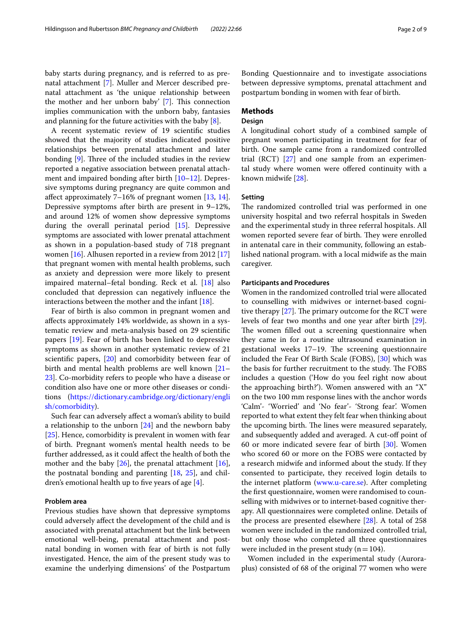baby starts during pregnancy, and is referred to as prenatal attachment [\[7](#page-7-6)]. Muller and Mercer described prenatal attachment as 'the unique relationship between the mother and her unborn baby'  $[7]$  $[7]$ . This connection implies communication with the unborn baby, fantasies and planning for the future activities with the baby [[8\]](#page-7-7).

A recent systematic review of 19 scientifc studies showed that the majority of studies indicated positive relationships between prenatal attachment and later bonding  $[9]$  $[9]$ . Three of the included studies in the review reported a negative association between prenatal attach-ment and impaired bonding after birth [[10–](#page-7-9)[12](#page-7-10)]. Depressive symptoms during pregnancy are quite common and affect approximately  $7-16%$  of pregnant women  $[13, 14]$  $[13, 14]$  $[13, 14]$  $[13, 14]$ . Depressive symptoms after birth are present in 9–12%, and around 12% of women show depressive symptoms during the overall perinatal period [\[15\]](#page-7-13). Depressive symptoms are associated with lower prenatal attachment as shown in a population-based study of 718 pregnant women [\[16](#page-7-14)]. Alhusen reported in a review from 2012 [[17](#page-7-15)] that pregnant women with mental health problems, such as anxiety and depression were more likely to present impaired maternal–fetal bonding. Reck et al. [[18\]](#page-7-16) also concluded that depression can negatively infuence the interactions between the mother and the infant [[18\]](#page-7-16).

Fear of birth is also common in pregnant women and afects approximately 14% worldwide, as shown in a systematic review and meta-analysis based on 29 scientifc papers [[19](#page-7-17)]. Fear of birth has been linked to depressive symptoms as shown in another systematic review of 21 scientifc papers, [[20\]](#page-7-18) and comorbidity between fear of birth and mental health problems are well known [[21–](#page-7-19) [23\]](#page-7-20). Co-morbidity refers to people who have a disease or condition also have one or more other diseases or conditions ([https://dictionary.cambridge.org/dictionary/engli](https://dictionary.cambridge.org/dictionary/english/comorbidity) [sh/comorbidity](https://dictionary.cambridge.org/dictionary/english/comorbidity)).

Such fear can adversely afect a woman's ability to build a relationship to the unborn [[24](#page-7-21)] and the newborn baby [[25\]](#page-7-22). Hence, comorbidity is prevalent in women with fear of birth. Pregnant women's mental health needs to be further addressed, as it could afect the health of both the mother and the baby  $[26]$  $[26]$ , the prenatal attachment  $[16]$  $[16]$ , the postnatal bonding and parenting [\[18,](#page-7-16) [25\]](#page-7-22), and children's emotional health up to five years of age  $[4]$  $[4]$ .

# **Problem area**

Previous studies have shown that depressive symptoms could adversely afect the development of the child and is associated with prenatal attachment but the link between emotional well-being, prenatal attachment and postnatal bonding in women with fear of birth is not fully investigated. Hence, the aim of the present study was to examine the underlying dimensions' of the Postpartum Bonding Questionnaire and to investigate associations between depressive symptoms, prenatal attachment and postpartum bonding in women with fear of birth.

# **Methods**

# **Design**

A longitudinal cohort study of a combined sample of pregnant women participating in treatment for fear of birth. One sample came from a randomized controlled trial (RCT) [\[27](#page-7-24)] and one sample from an experimental study where women were ofered continuity with a known midwife [[28\]](#page-7-25).

# **Setting**

The randomized controlled trial was performed in one university hospital and two referral hospitals in Sweden and the experimental study in three referral hospitals. All women reported severe fear of birth. They were enrolled in antenatal care in their community, following an established national program. with a local midwife as the main caregiver.

#### **Participants and Procedures**

Women in the randomized controlled trial were allocated to counselling with midwives or internet-based cognitive therapy  $[27]$  $[27]$  $[27]$ . The primary outcome for the RCT were levels of fear two months and one year after birth [\[29](#page-7-26)]. The women filled out a screening questionnaire when they came in for a routine ultrasound examination in gestational weeks 17-19. The screening questionnaire included the Fear Of Birth Scale (FOBS), [[30](#page-7-27)] which was the basis for further recruitment to the study. The FOBS includes a question ('How do you feel right now about the approaching birth?'). Women answered with an "X" on the two 100 mm response lines with the anchor words 'Calm'- 'Worried' and 'No fear'- 'Strong fear'. Women reported to what extent they felt fear when thinking about the upcoming birth. The lines were measured separately, and subsequently added and averaged. A cut-off point of 60 or more indicated severe fear of birth [[30\]](#page-7-27). Women who scored 60 or more on the FOBS were contacted by a research midwife and informed about the study. If they consented to participate, they received login details to the internet platform [\(www.u-care.se\)](http://www.u-care.se). After completing the frst questionnaire, women were randomised to counselling with midwives or to internet-based cognitive therapy. All questionnaires were completed online. Details of the process are presented elsewhere [[28](#page-7-25)]. A total of 258 women were included in the randomized controlled trial, but only those who completed all three questionnaires were included in the present study ( $n=104$ ).

Women included in the experimental study (Auroraplus) consisted of 68 of the original 77 women who were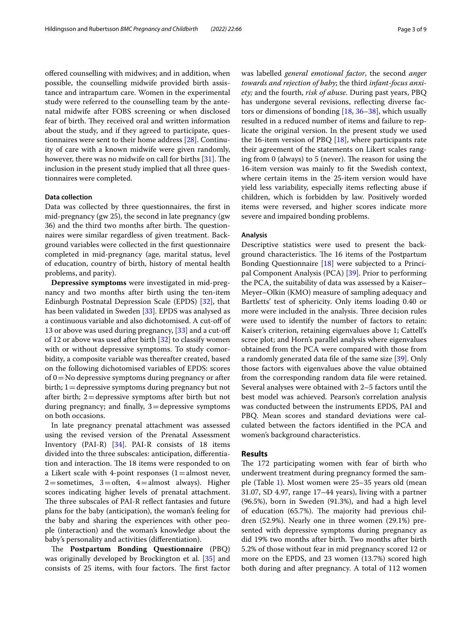ofered counselling with midwives; and in addition, when possible, the counselling midwife provided birth assistance and intrapartum care. Women in the experimental study were referred to the counselling team by the antenatal midwife after FOBS screening or when disclosed fear of birth. They received oral and written information about the study, and if they agreed to participate, questionnaires were sent to their home address [[28](#page-7-25)]. Continuity of care with a known midwife were given randomly, however, there was no midwife on call for births  $[31]$  $[31]$  $[31]$ . The inclusion in the present study implied that all three questionnaires were completed.

#### **Data collection**

Data was collected by three questionnaires, the frst in mid-pregnancy (gw 25), the second in late pregnancy (gw 36) and the third two months after birth. The questionnaires were similar regardless of given treatment. Background variables were collected in the frst questionnaire completed in mid-pregnancy (age, marital status, level of education, country of birth, history of mental health problems, and parity).

**Depressive symptoms** were investigated in mid-pregnancy and two months after birth using the ten-item Edinburgh Postnatal Depression Scale (EPDS) [[32](#page-7-29)], that has been validated in Sweden [[33\]](#page-7-30). EPDS was analysed as a continuous variable and also dichotomised. A cut-of of 13 or above was used during pregnancy, [\[33\]](#page-7-30) and a cut-off of 12 or above was used after birth  $[32]$  $[32]$  to classify women with or without depressive symptoms. To study comorbidity, a composite variable was thereafter created, based on the following dichotomised variables of EPDS: scores of  $0 = No$  depressive symptoms during pregnancy or after birth; 1=depressive symptoms during pregnancy but not after birth; 2=depressive symptoms after birth but not during pregnancy; and finally,  $3 =$  depressive symptoms on both occasions.

In late pregnancy prenatal attachment was assessed using the revised version of the Prenatal Assessment Inventory (PAI-R) [\[34](#page-7-31)]. PAI-R consists of 18 items divided into the three subscales: anticipation, diferentiation and interaction. The 18 items were responded to on a Likert scale with 4-point responses  $(1=$ almost never,  $2$ =sometimes,  $3$ =often,  $4$ =almost always). Higher scores indicating higher levels of prenatal attachment. The three subscales of PAI-R reflect fantasies and future plans for the baby (anticipation), the woman's feeling for the baby and sharing the experiences with other people (interaction) and the woman's knowledge about the baby's personality and activities (diferentiation).

The **Postpartum Bonding Questionnaire** (PBQ) was originally developed by Brockington et al. [[35\]](#page-7-32) and consists of 25 items, with four factors. The first factor was labelled *general emotional factor*, the second *anger towards and rejection of baby*; the third *infant-focus anxiety;* and the fourth, *risk of abuse*. During past years, PBQ has undergone several revisions, refecting diverse factors or dimensions of bonding [\[18](#page-7-16), [36–](#page-7-33)[38\]](#page-7-34), which usually resulted in a reduced number of items and failure to replicate the original version. In the present study we used the 16-item version of PBQ  $[18]$  $[18]$ , where participants rate their agreement of the statements on Likert scales ranging from 0 (always) to 5 (never). The reason for using the 16-item version was mainly to ft the Swedish context, where certain items in the 25-item version would have yield less variability, especially items refecting abuse if children, which is forbidden by law. Positively worded items were reversed, and higher scores indicate more severe and impaired bonding problems.

#### **Analysis**

Descriptive statistics were used to present the background characteristics. The 16 items of the Postpartum Bonding Questionnaire [\[18](#page-7-16)] were subjected to a Principal Component Analysis (PCA) [[39\]](#page-7-35). Prior to performing the PCA, the suitability of data was assessed by a Kaiser– Meyer–Olkin (KMO) measure of sampling adequacy and Bartletts' test of sphericity. Only items loading 0.40 or more were included in the analysis. Three decision rules were used to identify the number of factors to retain: Kaiser's criterion, retaining eigenvalues above 1; Cattell's scree plot; and Horn's parallel analysis where eigenvalues obtained from the PCA were compared with those from a randomly generated data fle of the same size [[39\]](#page-7-35). Only those factors with eigenvalues above the value obtained from the corresponding random data fle were retained. Several analyses were obtained with 2–5 factors until the best model was achieved. Pearson's correlation analysis was conducted between the instruments EPDS, PAI and PBQ. Mean scores and standard deviations were calculated between the factors identifed in the PCA and women's background characteristics.

# **Results**

The 172 participating women with fear of birth who underwent treatment during pregnancy formed the sample (Table [1\)](#page-3-0). Most women were 25–35 years old (mean 31.07, SD 4.97, range 17–44 years), living with a partner (96.5%), born in Sweden (91.3%), and had a high level of education (65.7%). The majority had previous children (52.9%). Nearly one in three women (29.1%) presented with depressive symptoms during pregnancy as did 19% two months after birth. Two months after birth 5.2% of those without fear in mid pregnancy scored 12 or more on the EPDS, and 23 women (13.7%) scored high both during and after pregnancy. A total of 112 women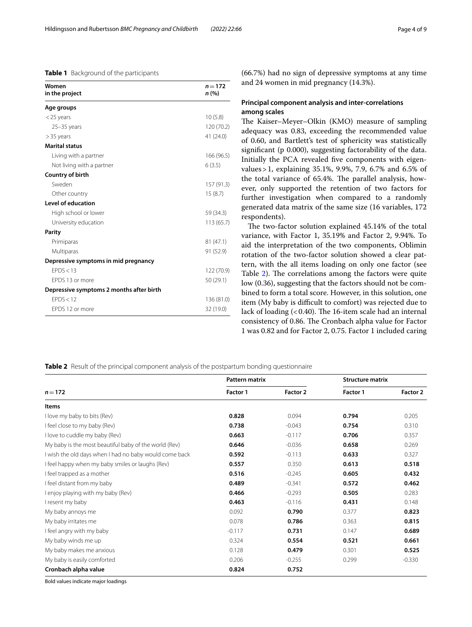### <span id="page-3-0"></span>**Table 1** Background of the participants

| Women<br>in the project                  | $n = 172$<br>n(%) |
|------------------------------------------|-------------------|
| Age groups                               |                   |
| $<$ 25 years                             | 10(5.8)           |
| $25 - 35$ years                          | 120 (70.2)        |
| $> 35$ years                             | 41 (24.0)         |
| <b>Marital status</b>                    |                   |
| Living with a partner                    | 166 (96.5)        |
| Not living with a partner                | 6(3.5)            |
| Country of birth                         |                   |
| Sweden                                   | 157(91.3)         |
| Other country                            | 15(8.7)           |
| Level of education                       |                   |
| High school or lower                     | 59 (34.3)         |
| University education                     | 113(65.7)         |
| Parity                                   |                   |
| Primiparas                               | 81 (47.1)         |
| Multiparas                               | 91 (52.9)         |
| Depressive symptoms in mid pregnancy     |                   |
| FPDS < 13                                | 122 (70.9)        |
| FPDS 13 or more                          | 50 (29.1)         |
| Depressive symptoms 2 months after birth |                   |
| FPDS < 12                                | 136 (81.0)        |
| FPDS 12 or more                          | 32 (19.0)         |

(66.7%) had no sign of depressive symptoms at any time and 24 women in mid pregnancy (14.3%).

# **Principal component analysis and inter‑correlations among scales**

The Kaiser-Meyer-Olkin (KMO) measure of sampling adequacy was 0.83, exceeding the recommended value of 0.60, and Bartlett's test of sphericity was statistically signifcant (p 0.000), suggesting factorability of the data. Initially the PCA revealed fve components with eigenvalues>1, explaining 35.1%, 9.9%, 7.9, 6.7% and 6.5% of the total variance of 65.4%. The parallel analysis, however, only supported the retention of two factors for further investigation when compared to a randomly generated data matrix of the same size (16 variables, 172 respondents).

The two-factor solution explained 45.14% of the total variance, with Factor 1, 35.19% and Factor 2, 9.94%. To aid the interpretation of the two components, Oblimin rotation of the two-factor solution showed a clear pattern, with the all items loading on only one factor (see Table [2](#page-3-1)). The correlations among the factors were quite low (0.36), suggesting that the factors should not be combined to form a total score. However, in this solution, one item (My baby is difficult to comfort) was rejected due to lack of loading  $( $0.40$ ). The 16-item scale had an internal$ consistency of 0.86. The Cronbach alpha value for Factor 1 was 0.82 and for Factor 2, 0.75. Factor 1 included caring

# <span id="page-3-1"></span>**Table 2** Result of the principal component analysis of the postpartum bonding questionnaire

| $n = 172$                                              | <b>Pattern matrix</b> |          | <b>Structure matrix</b> |          |
|--------------------------------------------------------|-----------------------|----------|-------------------------|----------|
|                                                        | <b>Factor 1</b>       | Factor 2 | <b>Factor 1</b>         | Factor 2 |
| Items                                                  |                       |          |                         |          |
| I love my baby to bits (Rev)                           | 0.828                 | 0.094    | 0.794                   | 0.205    |
| I feel close to my baby (Rev)                          | 0.738                 | $-0.043$ | 0.754                   | 0.310    |
| I love to cuddle my baby (Rev)                         | 0.663                 | $-0.117$ | 0.706                   | 0.357    |
| My baby is the most beautiful baby of the world (Rev)  | 0.646                 | $-0.036$ | 0.658                   | 0.269    |
| I wish the old days when I had no baby would come back | 0.592                 | $-0.113$ | 0.633                   | 0.327    |
| I feel happy when my baby smiles or laughs (Rev)       | 0.557                 | 0.350    | 0.613                   | 0.518    |
| I feel trapped as a mother                             | 0.516                 | $-0.245$ | 0.605                   | 0.432    |
| I feel distant from my baby                            | 0.489                 | $-0.341$ | 0.572                   | 0.462    |
| I enjoy playing with my baby (Rev)                     | 0.466                 | $-0.293$ | 0.505                   | 0.283    |
| I resent my baby                                       | 0.463                 | $-0.116$ | 0.431                   | 0.148    |
| My baby annoys me                                      | 0.092                 | 0.790    | 0.377                   | 0.823    |
| My baby irritates me                                   | 0.078                 | 0.786    | 0.363                   | 0.815    |
| I feel angry with my baby                              | $-0.117$              | 0.731    | 0.147                   | 0.689    |
| My baby winds me up                                    | 0.324                 | 0.554    | 0.521                   | 0.661    |
| My baby makes me anxious                               | 0.128                 | 0.479    | 0.301                   | 0.525    |
| My baby is easily comforted                            | 0.206                 | $-0.255$ | 0.299                   | $-0.330$ |
| Cronbach alpha value                                   | 0.824                 | 0.752    |                         |          |

Bold values indicate major loadings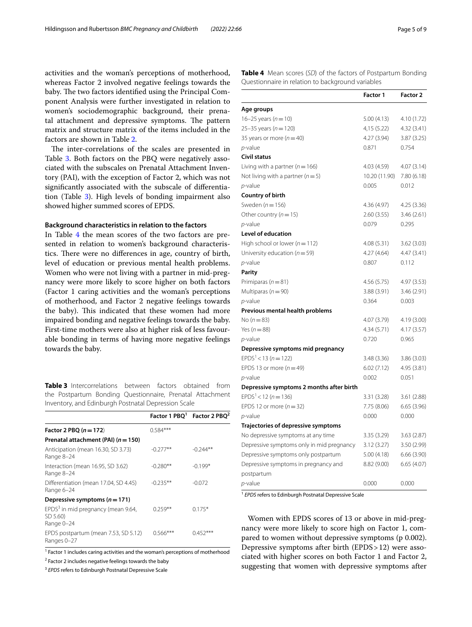activities and the woman's perceptions of motherhood, whereas Factor 2 involved negative feelings towards the baby. The two factors identified using the Principal Component Analysis were further investigated in relation to women's sociodemographic background, their prenatal attachment and depressive symptoms. The pattern matrix and structure matrix of the items included in the factors are shown in Table [2.](#page-3-1)

The inter-correlations of the scales are presented in Table [3](#page-4-0). Both factors on the PBQ were negatively associated with the subscales on Prenatal Attachment Inventory (PAI), with the exception of Factor 2, which was not signifcantly associated with the subscale of diferentiation (Table [3\)](#page-4-0). High levels of bonding impairment also showed higher summed scores of EPDS.

#### **Background characteristics in relation to the factors**

In Table [4](#page-4-1) the mean scores of the two factors are presented in relation to women's background characteristics. There were no differences in age, country of birth, level of education or previous mental health problems. Women who were not living with a partner in mid-pregnancy were more likely to score higher on both factors (Factor 1 caring activities and the woman's perceptions of motherhood, and Factor 2 negative feelings towards the baby). This indicated that these women had more impaired bonding and negative feelings towards the baby. First-time mothers were also at higher risk of less favourable bonding in terms of having more negative feelings towards the baby.

<span id="page-4-0"></span>**Table 3** Intercorrelations between factors obtained from the Postpartum Bonding Questionnaire, Prenatal Attachment Inventory, and Edinburgh Postnatal Depression Scale

|                                                                          |            | Factor 1 PBO <sup>1</sup> Factor 2 PBO <sup>2</sup> |
|--------------------------------------------------------------------------|------------|-----------------------------------------------------|
| Factor 2 PBQ $(n = 172)$                                                 | $0.584***$ |                                                     |
| Prenatal attachment (PAI) $(n = 150)$                                    |            |                                                     |
| Anticipation (mean 16.30, SD 3.73)<br>Range 8-24                         | $-0.277**$ | $-0.244**$                                          |
| Interaction (mean 16.95, SD 3.62)<br>Range 8-24                          | $-0.280**$ | $-0.199*$                                           |
| Differentiation (mean 17.04, SD 4.45)<br>Range 6-24                      | $-0.235**$ | $-0.072$                                            |
| Depressive symptoms ( $n = 171$ )                                        |            |                                                     |
| EPDS <sup>3</sup> in mid pregnancy (mean 9.64,<br>SD 5.60)<br>Range 0-24 | $0.259**$  | $0.175*$                                            |
| EPDS postpartum (mean 7.53, SD 5.12)<br>Ranges 0-27                      | 0.566***   | $0.452***$                                          |

<sup>1</sup> Factor 1 includes caring activities and the woman's perceptions of motherhood

<sup>2</sup> Factor 2 includes negative feelings towards the baby

<sup>3</sup> *EPDS* refers to Edinburgh Postnatal Depressive Scale

<span id="page-4-1"></span>**Table 4** Mean scores (*SD*) of the factors of Postpartum Bonding Questionnaire in relation to background variables

|                                           | Factor 1      | Factor 2    |
|-------------------------------------------|---------------|-------------|
| Age groups                                |               |             |
| 16-25 years ( $n = 10$ )                  | 5.00(4.13)    | 4.10 (1.72) |
| 25-35 years ( $n = 120$ )                 | 4,15(5.22)    | 4.32 (3.41) |
| 35 years or more ( $n = 40$ )             | 4.27(3.94)    | 3.87(3.25)  |
| p-value                                   | 0.871         | 0.754       |
| Civil status                              |               |             |
| Living with a partner ( $n = 166$ )       | 4.03 (4.59)   | 4.07(3.14)  |
| Not living with a partner ( $n = 5$ )     | 10.20 (11.90) | 7.80 (6.18) |
| p-value                                   | 0.005         | 0.012       |
| Country of birth                          |               |             |
| Sweden ( $n = 156$ )                      | 4.36 (4.97)   | 4.25 (3.36) |
| Other country ( $n = 15$ )                | 2.60(3.55)    | 3.46 (2.61) |
| p-value                                   | 0.079         | 0.295       |
| <b>Level of education</b>                 |               |             |
| High school or lower ( $n = 112$ )        | 4.08(5.31)    | 3.62(3.03)  |
| University education ( $n = 59$ )         | 4.27(4.64)    | 4.47(3.41)  |
| <i>p</i> -value                           | 0.807         | 0.112       |
| Parity                                    |               |             |
| Primiparas ( $n = 81$ )                   | 4.56 (5.75)   | 4.97 (3.53) |
| Multiparas ( $n = 90$ )                   | 3.88 (3.91)   | 3.46 (2.91) |
| p-value                                   | 0.364         | 0.003       |
| Previous mental health problems           |               |             |
| No ( $n = 83$ )                           | 4.07 (3.79)   | 4.19 (3.00) |
| Yes ( $n = 88$ )                          | 4.34(5.71)    | 4.17(3.57)  |
| $p$ -value                                | 0.720         | 0.965       |
| Depressive symptoms mid pregnancy         |               |             |
| $EPDS1 < 13 (n = 122)$                    | 3.48(3.36)    | 3.86 (3.03) |
| EPDS 13 or more ( $n = 49$ )              | 6.02(7.12)    | 4.95 (3.81) |
| p-value                                   | 0.002         | 0.051       |
| Depressive symptoms 2 months after birth  |               |             |
| $EPDS1 < 12 (n = 136)$                    | 3.31 (3.28)   | 3.61(2.88)  |
| EPDS 12 or more $(n=32)$                  | 7.75 (8.06)   | 6.65(3.96)  |
| p-value                                   | 0.000         | 0.000       |
| Trajectories of depressive symptoms       |               |             |
| No depressive symptoms at any time        | 3.35 (3.29)   | 3.63(2.87)  |
| Depressive symptoms only in mid pregnancy | 3.12(3.27)    | 3.50 (2.99) |
| Depressive symptoms only postpartum       | 5.00(4.18)    | 6.66(3.90)  |
| Depressive symptoms in pregnancy and      | 8.82 (9.00)   | 6.65 (4.07) |
| postpartum                                |               |             |
| p-value                                   | 0.000         | 0.000       |

<sup>1</sup> *EPDS* refers to Edinburgh Postnatal Depressive Scale

Women with EPDS scores of 13 or above in mid-pregnancy were more likely to score high on Factor 1, compared to women without depressive symptoms (p 0.002). Depressive symptoms after birth (EPDS>12) were associated with higher scores on both Factor 1 and Factor 2, suggesting that women with depressive symptoms after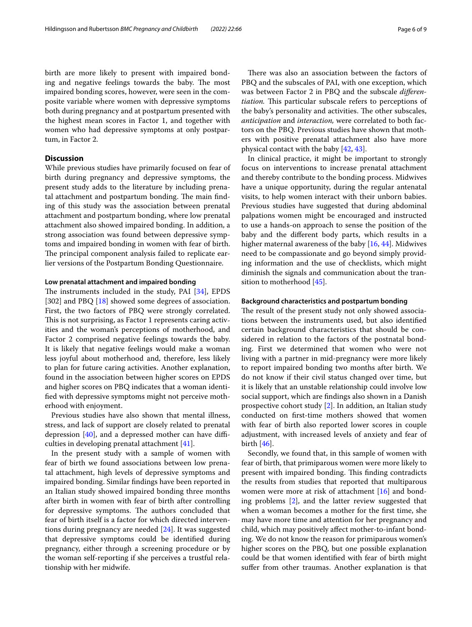birth are more likely to present with impaired bonding and negative feelings towards the baby. The most impaired bonding scores, however, were seen in the composite variable where women with depressive symptoms both during pregnancy and at postpartum presented with the highest mean scores in Factor 1, and together with women who had depressive symptoms at only postpartum, in Factor 2.

# **Discussion**

While previous studies have primarily focused on fear of birth during pregnancy and depressive symptoms, the present study adds to the literature by including prenatal attachment and postpartum bonding. The main finding of this study was the association between prenatal attachment and postpartum bonding, where low prenatal attachment also showed impaired bonding. In addition, a strong association was found between depressive symptoms and impaired bonding in women with fear of birth. The principal component analysis failed to replicate earlier versions of the Postpartum Bonding Questionnaire.

#### **Low prenatal attachment and impaired bonding**

The instruments included in the study, PAI  $[34]$  $[34]$ , EPDS [302] and PBQ [[18\]](#page-7-16) showed some degrees of association. First, the two factors of PBQ were strongly correlated. This is not surprising, as Factor 1 represents caring activities and the woman's perceptions of motherhood, and Factor 2 comprised negative feelings towards the baby. It is likely that negative feelings would make a woman less joyful about motherhood and, therefore, less likely to plan for future caring activities. Another explanation, found in the association between higher scores on EPDS and higher scores on PBQ indicates that a woman identifed with depressive symptoms might not perceive motherhood with enjoyment.

Previous studies have also shown that mental illness, stress, and lack of support are closely related to prenatal depression  $[40]$  $[40]$ , and a depressed mother can have difficulties in developing prenatal attachment [[41\]](#page-7-37).

In the present study with a sample of women with fear of birth we found associations between low prenatal attachment, high levels of depressive symptoms and impaired bonding. Similar fndings have been reported in an Italian study showed impaired bonding three months after birth in women with fear of birth after controlling for depressive symptoms. The authors concluded that fear of birth itself is a factor for which directed interventions during pregnancy are needed [[24\]](#page-7-21). It was suggested that depressive symptoms could be identifed during pregnancy, either through a screening procedure or by the woman self-reporting if she perceives a trustful relationship with her midwife.

There was also an association between the factors of PBQ and the subscales of PAI, with one exception, which was between Factor 2 in PBQ and the subscale *diferentiation*. This particular subscale refers to perceptions of the baby's personality and activities. The other subscales, *anticipation* and *interaction,* were correlated to both factors on the PBQ. Previous studies have shown that mothers with positive prenatal attachment also have more physical contact with the baby [\[42](#page-7-38), [43\]](#page-7-39).

In clinical practice, it might be important to strongly focus on interventions to increase prenatal attachment and thereby contribute to the bonding process. Midwives have a unique opportunity, during the regular antenatal visits, to help women interact with their unborn babies. Previous studies have suggested that during abdominal palpations women might be encouraged and instructed to use a hands-on approach to sense the position of the baby and the diferent body parts, which results in a higher maternal awareness of the baby [[16,](#page-7-14) [44](#page-7-40)]. Midwives need to be compassionate and go beyond simply providing information and the use of checklists, which might diminish the signals and communication about the transition to motherhood [\[45](#page-7-41)].

#### **Background characteristics and postpartum bonding**

The result of the present study not only showed associations between the instruments used, but also identifed certain background characteristics that should be considered in relation to the factors of the postnatal bonding. First we determined that women who were not living with a partner in mid-pregnancy were more likely to report impaired bonding two months after birth. We do not know if their civil status changed over time, but it is likely that an unstable relationship could involve low social support, which are fndings also shown in a Danish prospective cohort study [\[2](#page-7-1)]. In addition, an Italian study conducted on frst-time mothers showed that women with fear of birth also reported lower scores in couple adjustment, with increased levels of anxiety and fear of birth [\[46](#page-8-0)].

Secondly, we found that, in this sample of women with fear of birth, that primiparous women were more likely to present with impaired bonding. This finding contradicts the results from studies that reported that multiparous women were more at risk of attachment [\[16\]](#page-7-14) and bonding problems [\[2\]](#page-7-1), and the latter review suggested that when a woman becomes a mother for the frst time, she may have more time and attention for her pregnancy and child, which may positively afect mother-to-infant bonding. We do not know the reason for primiparous women's higher scores on the PBQ, but one possible explanation could be that women identifed with fear of birth might sufer from other traumas. Another explanation is that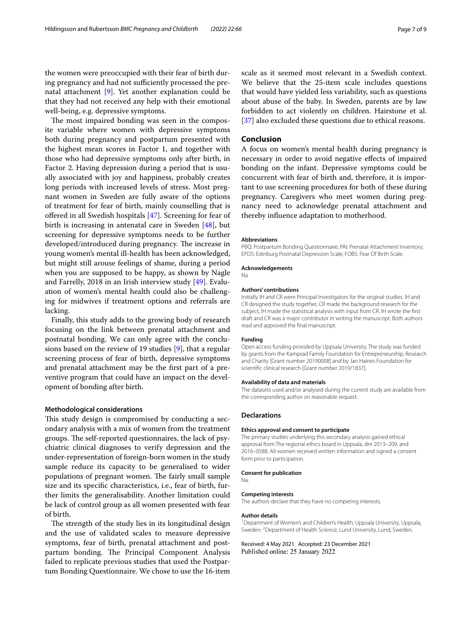the women were preoccupied with their fear of birth during pregnancy and had not sufficiently processed the prenatal attachment [[9\]](#page-7-8). Yet another explanation could be that they had not received any help with their emotional well-being, e.g. depressive symptoms.

The most impaired bonding was seen in the composite variable where women with depressive symptoms both during pregnancy and postpartum presented with the highest mean scores in Factor 1, and together with those who had depressive symptoms only after birth, in Factor 2. Having depression during a period that is usually associated with joy and happiness, probably creates long periods with increased levels of stress. Most pregnant women in Sweden are fully aware of the options of treatment for fear of birth, mainly counselling that is offered in all Swedish hospitals [\[47\]](#page-8-1). Screening for fear of birth is increasing in antenatal care in Sweden [\[48](#page-8-2)], but screening for depressive symptoms needs to be further developed/introduced during pregnancy. The increase in young women's mental ill-health has been acknowledged, but might still arouse feelings of shame, during a period when you are supposed to be happy, as shown by Nagle and Farrelly, 2018 in an Irish interview study [[49\]](#page-8-3). Evaluation of women's mental health could also be challenging for midwives if treatment options and referrals are lacking.

Finally, this study adds to the growing body of research focusing on the link between prenatal attachment and postnatal bonding. We can only agree with the conclusions based on the review of 19 studies [\[9](#page-7-8)], that a regular screening process of fear of birth, depressive symptoms and prenatal attachment may be the frst part of a preventive program that could have an impact on the development of bonding after birth.

# **Methodological considerations**

This study design is compromised by conducting a secondary analysis with a mix of women from the treatment groups. The self-reported questionnaires, the lack of psychiatric clinical diagnoses to verify depression and the under-representation of foreign-born women in the study sample reduce its capacity to be generalised to wider populations of pregnant women. The fairly small sample size and its specifc characteristics, i.e., fear of birth, further limits the generalisability. Another limitation could be lack of control group as all women presented with fear of birth.

The strength of the study lies in its longitudinal design and the use of validated scales to measure depressive symptoms, fear of birth, prenatal attachment and postpartum bonding. The Principal Component Analysis failed to replicate previous studies that used the Postpartum Bonding Questionnaire. We chose to use the 16-item scale as it seemed most relevant in a Swedish context. We believe that the 25-item scale includes questions that would have yielded less variability, such as questions about abuse of the baby. In Sweden, parents are by law forbidden to act violently on children. Hairstone et al. [[37\]](#page-7-42) also excluded these questions due to ethical reasons.

#### **Conclusion**

A focus on women's mental health during pregnancy is necessary in order to avoid negative efects of impaired bonding on the infant. Depressive symptoms could be concurrent with fear of birth and, therefore, it is important to use screening procedures for both of these during pregnancy. Caregivers who meet women during pregnancy need to acknowledge prenatal attachment and thereby infuence adaptation to motherhood.

#### **Abbreviations**

PBQ: Postpartum Bonding Questionnaire; PAI: Prenatal Attachment Inventory; EPDS: Edinburg Postnatal Depression Scale; FOBS: Fear Of Birth Scale.

#### **Acknowledgements**

Na

#### **Authors' contributions**

Initially IH and CR were Principal Investigators for the original studies. IH and CR designed the study together, CR made the background research for the subject, IH made the statistical analysis with input from CR. IH wrote the frst draft and CR was a major contributor in writing the manuscript. Both authors read and approved the fnal manuscript.

#### **Funding**

Open access funding provided by Uppsala University. The study was funded by grants from the Kamprad Family Foundation for Entrepreneurship, Research and Charity [Grant number 20190008] and by Jan Haines Foundation for scientifc clinical research [Grant number 2019/1837].

#### **Availability of data and materials**

The datasets used and/or analysed during the current study are available from the corresponding author on reasonable request.

#### **Declarations**

#### **Ethics approval and consent to participate**

The primary studies underlying this secondary analysis gained ethical approval from The regional ethics board in Uppsala, dnr 2013–209, and 2016–0588. All women received written information and signed a consent form prior to participation.

**Consent for publication**

#### Na.

#### **Competing interests**

The authors declare that they have no competing interests.

#### **Author details**

<sup>1</sup> Department of Women's and Children's Health, Uppsala University, Uppsala, Sweden. <sup>2</sup> Department of Health Science, Lund University, Lund, Sweden.

Received: 4 May 2021 Accepted: 23 December 2021Published online: 25 January 2022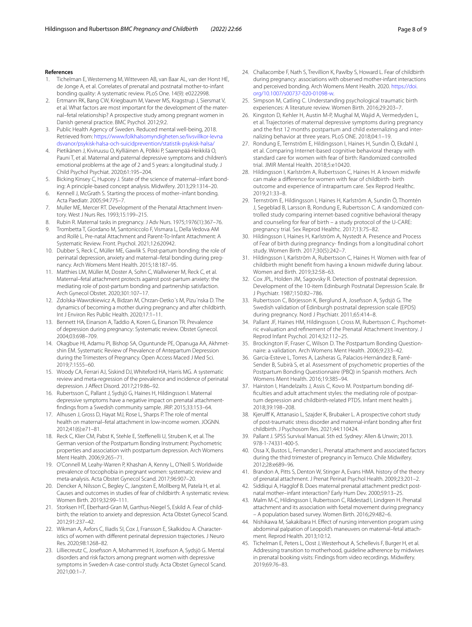#### **References**

- <span id="page-7-0"></span>1. Tichelman E, Westerneng M, Witteveen AB, van Baar AL, van der Horst HE, de Jonge A, et al. Correlates of prenatal and postnatal mother-to-infant bonding quality: A systematic review. PLoS One. 14(9): e0222998.
- <span id="page-7-1"></span>2. Ertmann RK, Bang CW, Kriegbaum M, Vaever MS, Kragstrup J, Siersmat V, et al. What factors are most important for the development of the maternal–fetal relationship? A prospective study among pregnant women in Danish general practice. BMC Psychol. 2012;9:2.
- <span id="page-7-2"></span>Public Health Agency of Sweden. Reduced mental well-being, 2018. Retrieved from: [https://www.folkhalsomyndigheten.se/livsvillkor-levna](https://www.folkhalsomyndigheten.se/livsvillkor-levnadsvanor/psykisk-halsa-och-suicidprevention/statistik-psykisk-halsa/) [dsvanor/psykisk-halsa-och-suicidprevention/statistik-psykisk-halsa/](https://www.folkhalsomyndigheten.se/livsvillkor-levnadsvanor/psykisk-halsa-och-suicidprevention/statistik-psykisk-halsa/)
- <span id="page-7-3"></span>4. Pietikänen J, Kiviruusu O, Kylliäinen A, Pölkki P, Saarenpää-Heikkilä O, Pauni T, et al. Maternal and paternal depressive symptoms and children's emotional problems at the age of 2 and 5 years: a longitudinal study. J Child Psychol Psychiat. 2020;61:195–204.
- <span id="page-7-4"></span>5. Bicking Kinsey C, Hupcey J. State of the science of maternal–infant bonding: A principle-based concept analysis. Midwifery. 2013;29:1314–20.
- <span id="page-7-5"></span>6. Kennell J, McGrath S. Starting the process of mother–infant bonding. Acta Paediatr. 2005;94:775–7.
- <span id="page-7-6"></span>7. Muller ME, Mercer RT. Development of the Prenatal Attachment Inventory. West J Nurs Res. 1993;15:199–215.
- <span id="page-7-7"></span>8. Rubin R. Maternal tasks in pregnancy. J Adv Nurs. 1975;1976(1):367–76.
- <span id="page-7-8"></span>9. Trombetta T, Giordano M, Santoniccolo F, Vismara L, Della Vedova AM and Rollè L. Pre-natal Attachment and Parent-To-Infant Attachment: A Systematic Review. Front. Psychol. 2021;12:620942.
- <span id="page-7-9"></span>10. Dubber S, Reck C, Müller ME, Gawlik S. Post-partum bonding: the role of perinatal depression, anxiety and maternal–fetal bonding during pregnancy. Arch Womens Ment Health. 2015;18:187–95.
- 11. Matthies LM, Müller M, Doster A, Sohn C, Wallwiener M, Reck C, et al. Maternal–fetal attachment protects against post-partum anxiety: the mediating role of post-partum bonding and partnership satisfaction. Arch Gynecol Obstet. 2020;301:107–17.
- <span id="page-7-10"></span>12. Zdolska-Wawrzkiewicz A, Bidzan M, Chrzan-Detko´s M, Pizu´nska D. The dynamics of becoming a mother during pregnancy and after childbirth. Int J Environ Res Public Health. 2020;17:1–11.
- <span id="page-7-11"></span>13. Bennett HA, Einarson A, Taddio A, Koren G, Einarson TR. Prevalence of depression during pregnancy: Systematic review. Obstet Gynecol. 2004;03:698–709.
- <span id="page-7-12"></span>14. Okagbue HI, Adamu PI, Bishop SA, Oguntunde PE, Opanuga AA, Akhmetshin EM. Systematic Review of Prevalence of Antepartum Depression during the Trimesters of Pregnancy. Open Access Maced J Med Sci. 2019;7:1555–60.
- <span id="page-7-13"></span>15. Woody CA, Ferrari AJ, Siskind DJ, Whiteford HA, Harris MG. A systematic review and meta-regression of the prevalence and incidence of perinatal depression. J Afect Disord. 2017;219:86–92.
- <span id="page-7-14"></span>16. Rubertsson C, Pallant J, Sydsjö G, Haines H, Hildingsson I. Maternal depressive symptoms have a negative impact on prenatal attachmentfndings from a Swedish community sample. JRIP. 2015;33:153–64.
- <span id="page-7-15"></span>17. Alhusen J, Gross D, Hayat MJ, Rose L, Sharps P. The role of mental health on maternal–fetal attachment in low-income women. JOGNN. 2012;41(6):e71–81.
- <span id="page-7-16"></span>18. Reck C, Klier CM, Pabst K, Stehle E, Stefenelli U, Struben K, et al. The German version of the Postpartum Bonding Instrument: Psychometric properties and association with postpartum depression. Arch Womens Ment Health. 2006;9:265–71.
- <span id="page-7-17"></span>19. O'Connell M, Leahy-Warren P, Khashan A, Kenny L, O'Neill S. Worldwide prevalence of tocophobia in pregnant women: systematic review and meta-analysis. Acta Obstet Gynecol Scand. 2017;96:907–20.
- <span id="page-7-18"></span>20. Dencker A, Nilsson C, Begley C, Jangsten E, Mollberg M, Patela H, et al. Causes and outcomes in studies of fear of childbirth: A systematic review. Women Birth. 2019;32:99–111.
- <span id="page-7-19"></span>21. Storksen HT, Eberhard-Gran M, Garthus-Niegel S, Eskild A. Fear of childbirth; the relation to anxiety and depression. Acta Obstet Gynecol Scand. 2012;91:237–42.
- 22. Wikman A, Axfors C, Iliadis SI, Cox J, Fransson E, Skalkidou A. Characteristics of women with diferent perinatal depression trajectories. J Neuro Res. 2020;98:1268–82.
- <span id="page-7-20"></span>23. Lilliecreutz C, Josefsson A, Mohammed H, Josefsson A, Sydsjö G. Mental disorders and risk factors among pregnant women with depressive symptoms in Sweden-A case-control study. Acta Obstet Gynecol Scand. 2021;00:1–7.
- <span id="page-7-21"></span>24. Challacombe F, Nath S, Trevillion K, Pawlby S, Howard L. Fear of childbirth during pregnancy: associations with observed mother-infant interactions and perceived bonding. Arch Womens Ment Health. 2020. [https://doi.](https://doi.org/10.1007/s00737-020-01098-w) [org/10.1007/s00737-020-01098-w.](https://doi.org/10.1007/s00737-020-01098-w)
- <span id="page-7-22"></span>25. Simpson M, Catling C. Understanding psychological traumatic birth experiences: A literature review. Women Birth. 2016;29:203–7.
- <span id="page-7-23"></span>26. Kingston D, Kehler H, Austin M-P, Mughal M, Wajid A, Vermedyden L, et al. Trajectories of maternal depressive symptoms during pregnancy and the frst 12 months postpartum and child externalizing and internalizing behavior at three years. PLoS ONE. 2018;04:1–19.
- <span id="page-7-24"></span>27. Rondung E, Ternström E, Hildingsson I, Haines H, Sundin Ö, Ekdahl J, et al. Comparing Internet-based cognitive behavioral therapy with standard care for women with fear of birth: Randomized controlled trial. JMIR Mental Health. 2018;5:e10420.
- <span id="page-7-25"></span>28. Hildingsson I, Karlström A, Rubertsson C, Haines H. A known midwife can make a diference for women with fear of childbirth- birth outcome and experience of intrapartum care. Sex Reprod Healthc. 2019;21:33–8.
- <span id="page-7-26"></span>29. Ternström E, Hildingsson I, Haines H, Karlström A, Sundin Ö, Thomtén J, Segeblad B, Larsson B, Rondung E, Rubertsson C. A randomized controlled study comparing internet-based cognitive behavioral therapy and counseling for fear of birth – a study protocol of the U-CARE: pregnancy trial. Sex Reprod Healthc. 2017;13:75–82.
- <span id="page-7-27"></span>30. Hildingsson I, Haines H, Karlström A, Nystedt A. Presence and Process of Fear of birth during pregnancy- fndings from a longitudinal cohort study. Women Birth. 2017;30(5):242–7.
- <span id="page-7-28"></span>31. Hildingsson I, Karlström A, Rubertsson C, Haines H. Women with fear of childbirth might beneft from having a known midwife during labour. Women and Birth. 2019;32:58–63.
- <span id="page-7-29"></span>32. Cox JPL, Holden JM, Sagovsky R. Detection of postnatal depression. Development of the 10-item Edinburgh Postnatal Depression Scale. Br J Psychiatr. 1987;150:82–786.
- <span id="page-7-30"></span>33. Rubertsson C, Börjesson K, Berglund A, Josefsson A, Sydsjö G. The Swedish validation of Edinburgh postnatal depression scale (EPDS) during pregnancy. Nord J Psychiatr. 2011;65:414–8.
- <span id="page-7-31"></span>34. Pallant JF, Haines HM, Hildingsson I, Cross M, Rubertsson C. Psychometric evaluation and refnement of the Prenatal Attachment Inventory. J Reprod Infant Psychol. 2014;32:112–25.
- <span id="page-7-32"></span>35. Brockington IF, Fraser C, Wilson D. The Postpartum Bonding Questionnaire: a validation. Arch Womens Ment Health. 2006;9:233–42.
- <span id="page-7-33"></span>36. Garcia-Esteve L, Torres A, Lasheras G, Palacios-Hernández B, Farré-Sender B, Subirà S, et al. Assessment of psychometric properties of the Postpartum Bonding Questionnaire (PBQ) in Spanish mothers. Arch Womens Ment Health. 2016;19:385–94.
- <span id="page-7-42"></span>37. Hairston I, Handelzalts J, Assis C, Kovo M. Postpartum bonding diffculties and adult attachment styles: the mediating role of postpartum depression and childbirth-related PTDS. Infant ment health j. 2018;39:198–208.
- <span id="page-7-34"></span>38. Kjerulff K, Attanasio L, Szajder K, Brubaker L. A prospective cohort study of post-traumatic stress disorder and maternal-infant bonding after frst childbirth. J Psychosom Res. 2021;44:110424.
- <span id="page-7-35"></span>39. Pallant J. SPSS Survival Manual. 5th ed. Sydney: Allen & Unwin; 2013. 978-1-74331-400-5.
- <span id="page-7-36"></span>40. Ossa X, Bustos L, Fernandez L. Prenatal attachment and associated factors during the third trimester of pregnancy in Temuco. Chile Midwifery. 2012;28:e689–96.
- <span id="page-7-37"></span>41. Brandon A, Pitts S, Denton W, Stinger A, Evans HMA. history of the theory of prenatal attachment. J Prenat Perinat Psychol Health. 2009;23:201–2.
- <span id="page-7-38"></span>42. Siddiqui A, Hagglof B. Does maternal prenatal attachment predict postnatal mother–infant interaction? Early Hum Dev. 2000;59:13–25.
- <span id="page-7-39"></span>43. Malm M-C, Hildingsson I, Rubertsson C, Rådestad I, Lindgren H. Prenatal attachment and its association with foetal movement during pregnancy – A population based survey. Women Birth. 2016;29:482–6.
- <span id="page-7-40"></span>44. Nishikawa M, Sakakibara H. Efect of nursing intervention program using abdominal palpation of Leopold's maneuvers on maternal–fetal attachment. Reprod Health. 2013;10:12.
- <span id="page-7-41"></span>45. Tichelman E, Peters L, Oost J, Westerhout A, Schellevis F, Burger H, et al. Addressing transition to motherhood, guideline adherence by midwives in prenatal booking visits: Findings from video recordings. Midwifery. 2019;69:76–83.